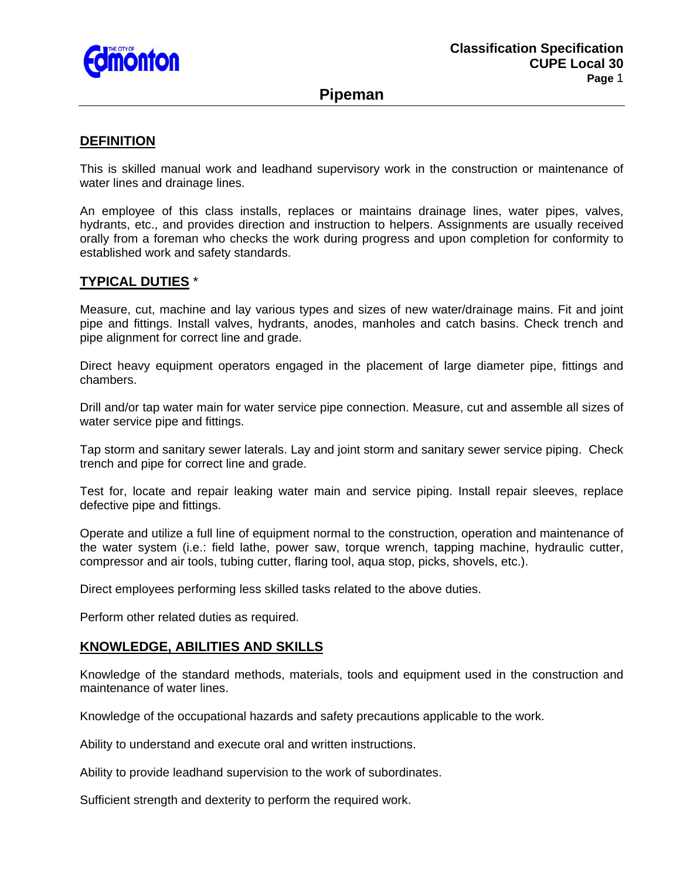

# **Pipeman**

# **DEFINITION**

This is skilled manual work and leadhand supervisory work in the construction or maintenance of water lines and drainage lines.

An employee of this class installs, replaces or maintains drainage lines, water pipes, valves, hydrants, etc., and provides direction and instruction to helpers. Assignments are usually received orally from a foreman who checks the work during progress and upon completion for conformity to established work and safety standards.

## **TYPICAL DUTIES** \*

Measure, cut, machine and lay various types and sizes of new water/drainage mains. Fit and joint pipe and fittings. Install valves, hydrants, anodes, manholes and catch basins. Check trench and pipe alignment for correct line and grade.

Direct heavy equipment operators engaged in the placement of large diameter pipe, fittings and chambers.

Drill and/or tap water main for water service pipe connection. Measure, cut and assemble all sizes of water service pipe and fittings.

Tap storm and sanitary sewer laterals. Lay and joint storm and sanitary sewer service piping. Check trench and pipe for correct line and grade.

Test for, locate and repair leaking water main and service piping. Install repair sleeves, replace defective pipe and fittings.

Operate and utilize a full line of equipment normal to the construction, operation and maintenance of the water system (i.e.: field lathe, power saw, torque wrench, tapping machine, hydraulic cutter, compressor and air tools, tubing cutter, flaring tool, aqua stop, picks, shovels, etc.).

Direct employees performing less skilled tasks related to the above duties.

Perform other related duties as required.

## **KNOWLEDGE, ABILITIES AND SKILLS**

Knowledge of the standard methods, materials, tools and equipment used in the construction and maintenance of water lines.

Knowledge of the occupational hazards and safety precautions applicable to the work.

Ability to understand and execute oral and written instructions.

Ability to provide leadhand supervision to the work of subordinates.

Sufficient strength and dexterity to perform the required work.